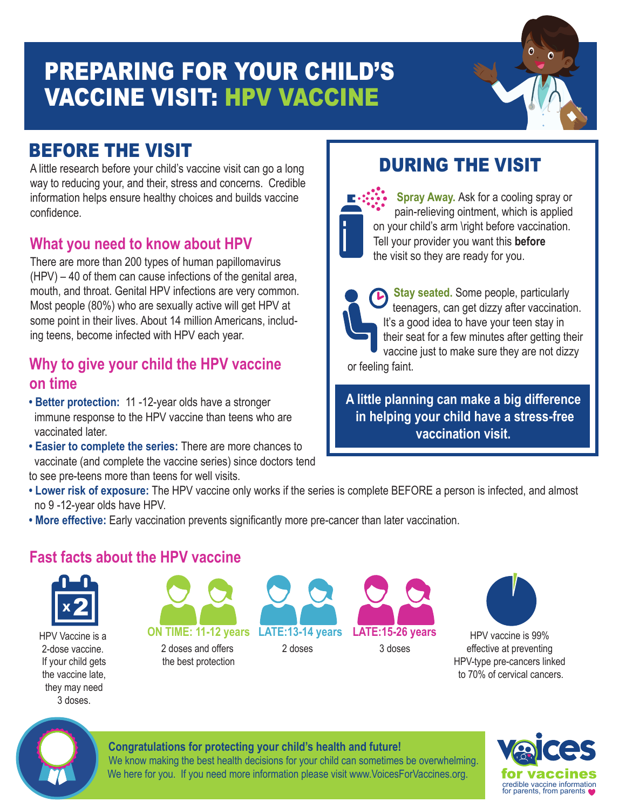# PREPARING FOR YOUR CHILD'S VACCINE VISIT: HPV VACCINE

# BEFORE THE VISIT

A little research before your child's vaccine visit can go a long way to reducing your, and their, stress and concerns. Credible information helps ensure healthy choices and builds vaccine confidence.

# **What you need to know about HPV**

There are more than 200 types of human papillomavirus (HPV) – 40 of them can cause infections of the genital area, mouth, and throat. Genital HPV infections are very common. Most people (80%) who are sexually active will get HPV at some point in their lives. About 14 million Americans, including teens, become infected with HPV each year.

## **Why to give your child the HPV vaccine on time**

- **Better protection:** 11 -12-year olds have a stronger immune response to the HPV vaccine than teens who are vaccinated later.
- **Easier to complete the series:** There are more chances to vaccinate (and complete the vaccine series) since doctors tend to see pre-teens more than teens for well visits.

#### **Making Your Child Comfortable**  DURING THE VISIT

**Spray Away.** Ask for a cooling spray or pain-relieving ointment, which is applied on your child's arm \right before vaccination. Tell your provider you want this **before** the visit so they are ready for you.

**Stay seated.** Some people, particularly teenagers, can get dizzy after vaccination. It's a good idea to have your teen stay in their seat for a few minutes after getting their vaccine just to make sure they are not dizzy or feeling faint.

**A little planning can make a big difference in helping your child have a stress-free vaccination visit.** 

- **Lower risk of exposure:** The HPV vaccine only works if the series is complete BEFORE a person is infected, and almost no 9 -12-year olds have HPV.
- **More effective:** Early vaccination prevents significantly more pre-cancer than later vaccination.

# **Fast facts about the HPV vaccine**



HPV Vaccine is a 2-dose vaccine. If your child gets the vaccine late, they may need 3 doses.



2 doses and offers the best protection





HPV vaccine is 99% effective at preventing HPV-type pre-cancers linked to 70% of cervical cancers.



### **Congratulations for protecting your child's health and future!**

We know making the best health decisions for your child can sometimes be overwhelming. We here for you. If you need more information please visit www.VoicesForVaccines.org.